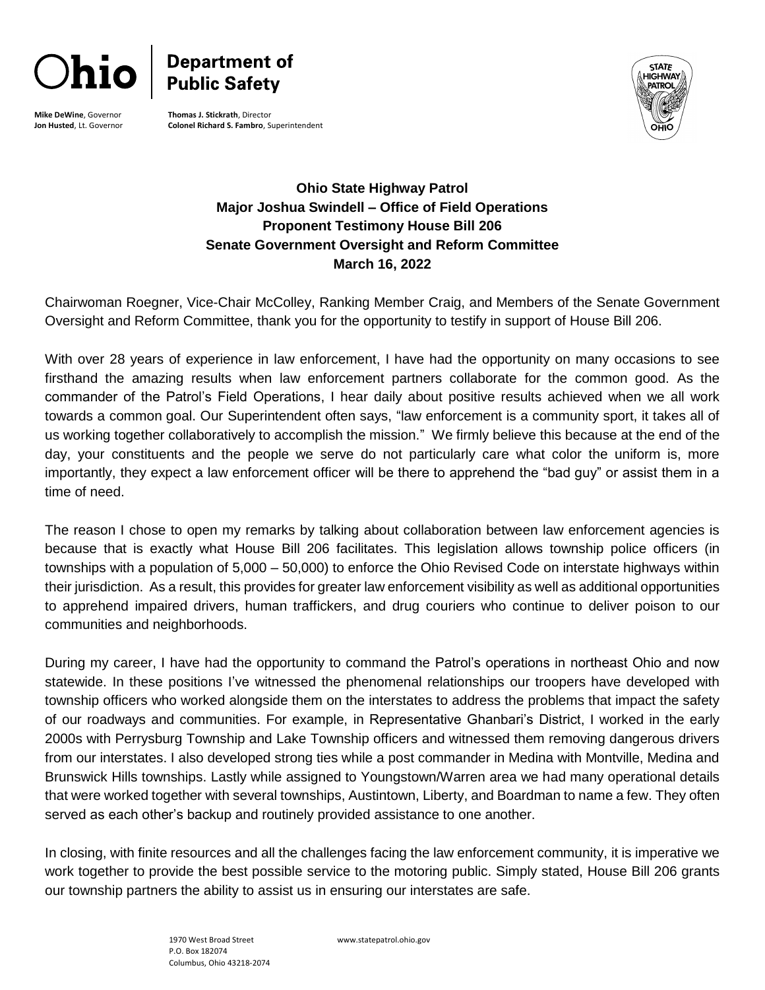

**Mike DeWine**, Governor **Jon Husted**, Lt. Governor



**Thomas J. Stickrath**, Director **Colonel Richard S. Fambro**, Superintendent



## **Ohio State Highway Patrol Major Joshua Swindell – Office of Field Operations Proponent Testimony House Bill 206 Senate Government Oversight and Reform Committee March 16, 2022**

Chairwoman Roegner, Vice-Chair McColley, Ranking Member Craig, and Members of the Senate Government Oversight and Reform Committee, thank you for the opportunity to testify in support of House Bill 206.

With over 28 years of experience in law enforcement, I have had the opportunity on many occasions to see firsthand the amazing results when law enforcement partners collaborate for the common good. As the commander of the Patrol's Field Operations, I hear daily about positive results achieved when we all work towards a common goal. Our Superintendent often says, "law enforcement is a community sport, it takes all of us working together collaboratively to accomplish the mission." We firmly believe this because at the end of the day, your constituents and the people we serve do not particularly care what color the uniform is, more importantly, they expect a law enforcement officer will be there to apprehend the "bad guy" or assist them in a time of need.

The reason I chose to open my remarks by talking about collaboration between law enforcement agencies is because that is exactly what House Bill 206 facilitates. This legislation allows township police officers (in townships with a population of 5,000 – 50,000) to enforce the Ohio Revised Code on interstate highways within their jurisdiction. As a result, this provides for greater law enforcement visibility as well as additional opportunities to apprehend impaired drivers, human traffickers, and drug couriers who continue to deliver poison to our communities and neighborhoods.

During my career, I have had the opportunity to command the Patrol's operations in northeast Ohio and now statewide. In these positions I've witnessed the phenomenal relationships our troopers have developed with township officers who worked alongside them on the interstates to address the problems that impact the safety of our roadways and communities. For example, in Representative Ghanbari's District, I worked in the early 2000s with Perrysburg Township and Lake Township officers and witnessed them removing dangerous drivers from our interstates. I also developed strong ties while a post commander in Medina with Montville, Medina and Brunswick Hills townships. Lastly while assigned to Youngstown/Warren area we had many operational details that were worked together with several townships, Austintown, Liberty, and Boardman to name a few. They often served as each other's backup and routinely provided assistance to one another.

In closing, with finite resources and all the challenges facing the law enforcement community, it is imperative we work together to provide the best possible service to the motoring public. Simply stated, House Bill 206 grants our township partners the ability to assist us in ensuring our interstates are safe.

> 1970 West Broad Street P.O. Box 182074 Columbus, Ohio 43218-2074

[www.statepatrol.ohio.gov](http://www.statepatrol.ohio.gov/)